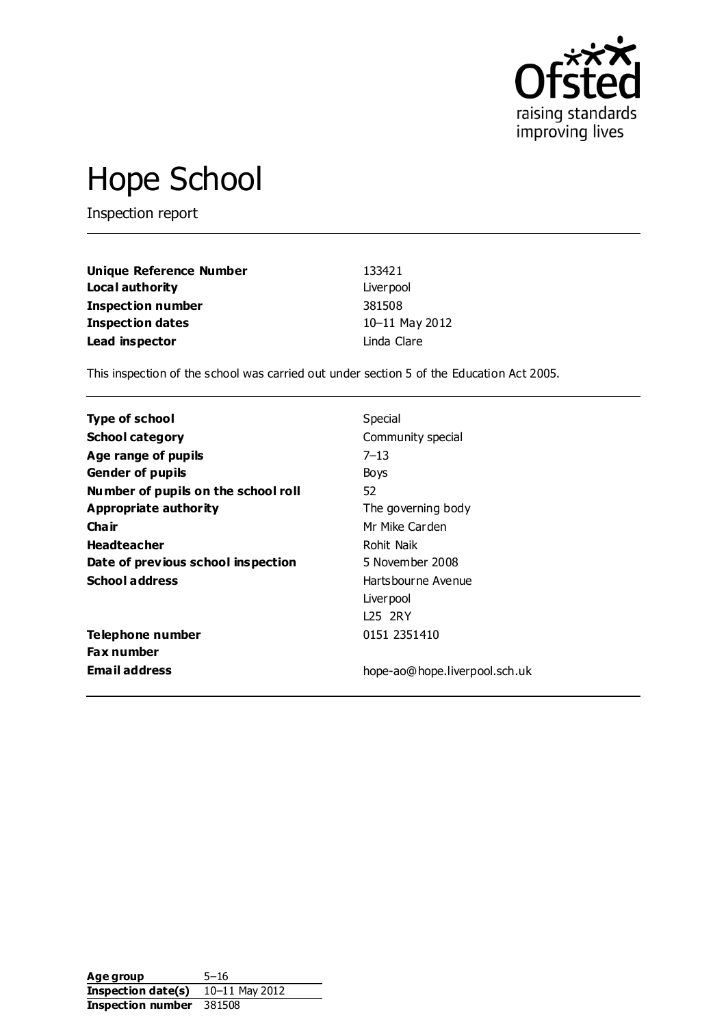

# Hope School

Inspection report

| <b>Unique Reference Number</b> | 133421         |
|--------------------------------|----------------|
| Local authority                | Liver pool     |
| <b>Inspection number</b>       | 381508         |
| Inspection dates               | 10-11 May 2012 |
| Lead inspector                 | Linda Clare    |

This inspection of the school was carried out under section 5 of the Education Act 2005.

| <b>Type of school</b>               | Special                       |
|-------------------------------------|-------------------------------|
| <b>School category</b>              | Community special             |
| Age range of pupils                 | $7 - 13$                      |
| <b>Gender of pupils</b>             | Boys                          |
| Number of pupils on the school roll | 52                            |
| Appropriate authority               | The governing body            |
| Cha ir                              | Mr Mike Carden                |
| <b>Headteacher</b>                  | Rohit Naik                    |
| Date of previous school inspection  | 5 November 2008               |
| <b>School address</b>               | Hartsbourne Avenue            |
|                                     | Liver pool                    |
|                                     | L25 2RY                       |
| Telephone number                    | 0151 2351410                  |
| <b>Fax number</b>                   |                               |
| <b>Email address</b>                | hope-ao@hope.liverpool.sch.uk |

**Age group** 5–16 **Inspection date(s)** 10–11 May 2012 **Inspection number** 381508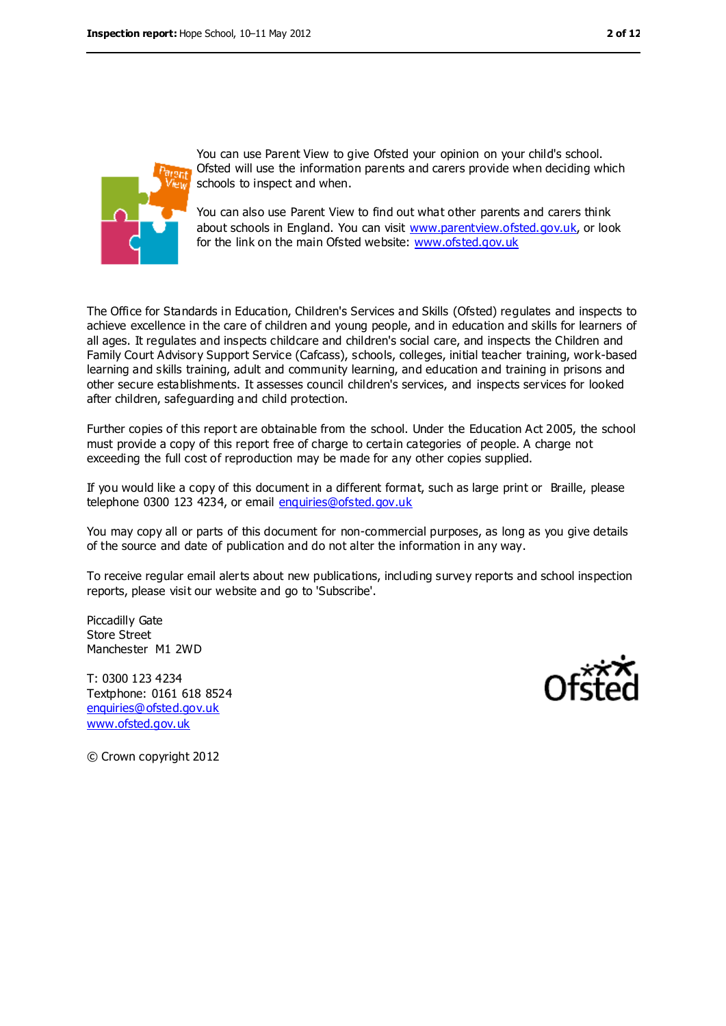

You can use Parent View to give Ofsted your opinion on your child's school. Ofsted will use the information parents and carers provide when deciding which schools to inspect and when.

You can also use Parent View to find out what other parents and carers think about schools in England. You can visit [www.parentview.ofsted.gov.uk,](https://webmail.cfbt.com/mail/AppData/Local/Microsoft/Windows/AppData/Local/Microsoft/Local%20Settings/Temporary%20Internet%20Files/Content.IE5/KTUR6MD3/www.parentview.ofsted.gov.uk) or look for the link on the main Ofsted website: [www.ofsted.gov.uk](https://webmail.cfbt.com/mail/AppData/Local/Microsoft/Windows/AppData/Local/Microsoft/Local%20Settings/Temporary%20Internet%20Files/Content.IE5/KTUR6MD3/www.ofsted.gov.uk)

The Office for Standards in Education, Children's Services and Skills (Ofsted) regulates and inspects to achieve excellence in the care of children and young people, and in education and skills for learners of all ages. It regulates and inspects childcare and children's social care, and inspects the Children and Family Court Advisory Support Service (Cafcass), schools, colleges, initial teacher training, work-based learning and skills training, adult and community learning, and education and training in prisons and other secure establishments. It assesses council children's services, and inspects services for looked after children, safeguarding and child protection.

Further copies of this report are obtainable from the school. Under the Education Act 2005, the school must provide a copy of this report free of charge to certain categories of people. A charge not exceeding the full cost of reproduction may be made for any other copies supplied.

If you would like a copy of this document in a different format, such as large print or Braille, please telephone 0300 123 4234, or email [enquiries@ofsted.gov.uk](mailto:enquiries@ofsted.gov.uk)

You may copy all or parts of this document for non-commercial purposes, as long as you give details of the source and date of publication and do not alter the information in any way.

To receive regular email alerts about new publications, including survey reports and school inspection reports, please visit our website and go to 'Subscribe'.

Piccadilly Gate Store Street Manchester M1 2WD

T: 0300 123 4234 Textphone: 0161 618 8524 [enquiries@ofsted.gov.uk](mailto:enquiries@ofsted.gov.uk) [www.ofsted.gov.uk](http://www.ofsted.gov.uk/)



© Crown copyright 2012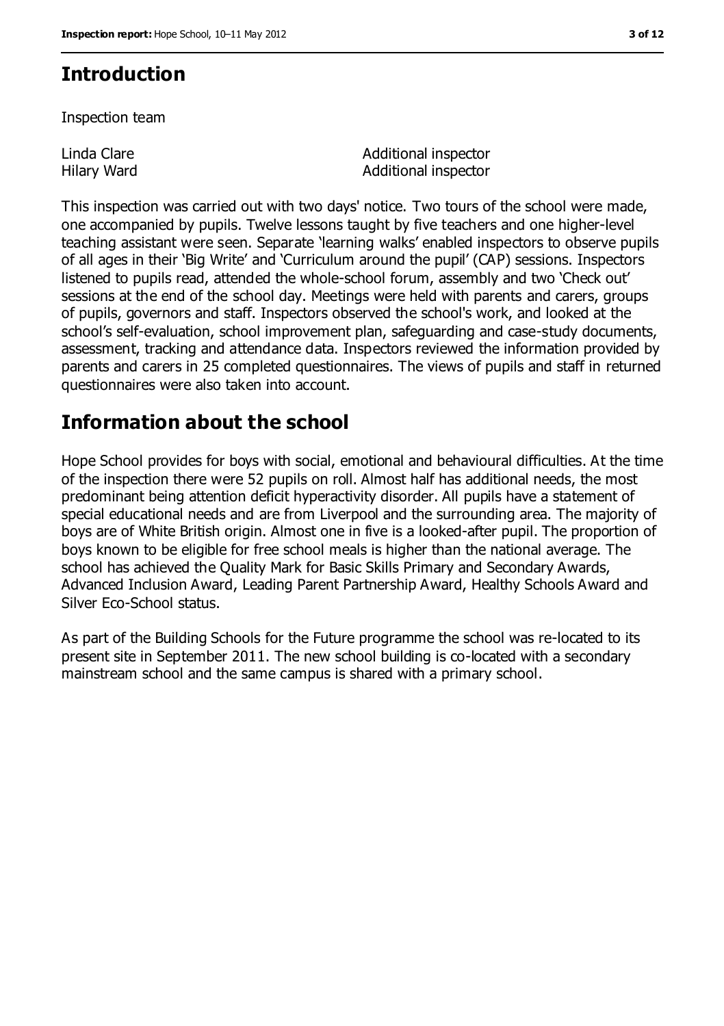# **Introduction**

Inspection team

Linda Clare Hilary Ward Additional inspector Additional inspector

This inspection was carried out with two days' notice. Two tours of the school were made, one accompanied by pupils. Twelve lessons taught by five teachers and one higher-level teaching assistant were seen. Separate 'learning walks' enabled inspectors to observe pupils of all ages in their 'Big Write' and 'Curriculum around the pupil' (CAP) sessions. Inspectors listened to pupils read, attended the whole-school forum, assembly and two 'Check out' sessions at the end of the school day. Meetings were held with parents and carers, groups of pupils, governors and staff. Inspectors observed the school's work, and looked at the school's self-evaluation, school improvement plan, safeguarding and case-study documents, assessment, tracking and attendance data. Inspectors reviewed the information provided by parents and carers in 25 completed questionnaires. The views of pupils and staff in returned questionnaires were also taken into account.

# **Information about the school**

Hope School provides for boys with social, emotional and behavioural difficulties. At the time of the inspection there were 52 pupils on roll. Almost half has additional needs, the most predominant being attention deficit hyperactivity disorder. All pupils have a statement of special educational needs and are from Liverpool and the surrounding area. The majority of boys are of White British origin. Almost one in five is a looked-after pupil. The proportion of boys known to be eligible for free school meals is higher than the national average. The school has achieved the Quality Mark for Basic Skills Primary and Secondary Awards, Advanced Inclusion Award, Leading Parent Partnership Award, Healthy Schools Award and Silver Eco-School status.

As part of the Building Schools for the Future programme the school was re-located to its present site in September 2011. The new school building is co-located with a secondary mainstream school and the same campus is shared with a primary school.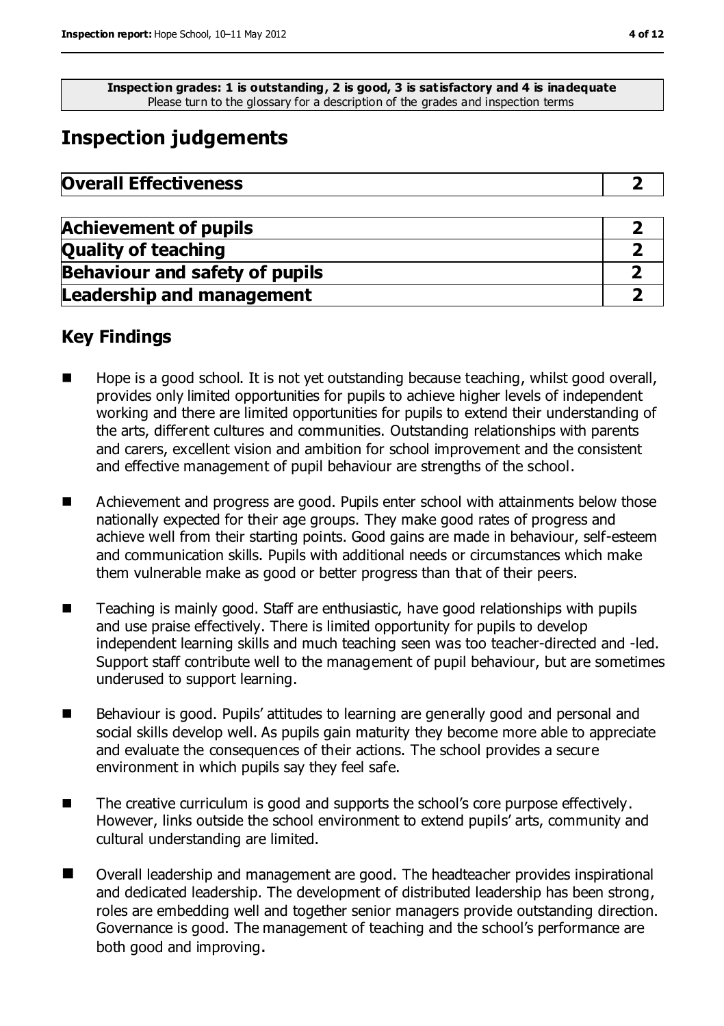**Inspection grades: 1 is outstanding, 2 is good, 3 is satisfactory and 4 is inadequate** Please turn to the glossary for a description of the grades and inspection terms

# **Inspection judgements**

| <b>Overall Effectiveness</b> |  |
|------------------------------|--|
|------------------------------|--|

| <b>Achievement of pupils</b>          |  |
|---------------------------------------|--|
| <b>Quality of teaching</b>            |  |
| <b>Behaviour and safety of pupils</b> |  |
| <b>Leadership and management</b>      |  |

# **Key Findings**

- Hope is a good school. It is not vet outstanding because teaching, whilst good overall, provides only limited opportunities for pupils to achieve higher levels of independent working and there are limited opportunities for pupils to extend their understanding of the arts, different cultures and communities. Outstanding relationships with parents and carers, excellent vision and ambition for school improvement and the consistent and effective management of pupil behaviour are strengths of the school.
- Achievement and progress are good. Pupils enter school with attainments below those nationally expected for their age groups. They make good rates of progress and achieve well from their starting points. Good gains are made in behaviour, self-esteem and communication skills. Pupils with additional needs or circumstances which make them vulnerable make as good or better progress than that of their peers.
- Teaching is mainly good. Staff are enthusiastic, have good relationships with pupils and use praise effectively. There is limited opportunity for pupils to develop independent learning skills and much teaching seen was too teacher-directed and -led. Support staff contribute well to the management of pupil behaviour, but are sometimes underused to support learning.
- Behaviour is good. Pupils' attitudes to learning are generally good and personal and social skills develop well. As pupils gain maturity they become more able to appreciate and evaluate the consequences of their actions. The school provides a secure environment in which pupils say they feel safe.
- The creative curriculum is good and supports the school's core purpose effectively. However, links outside the school environment to extend pupils' arts, community and cultural understanding are limited.
- Overall leadership and management are good. The headteacher provides inspirational and dedicated leadership. The development of distributed leadership has been strong, roles are embedding well and together senior managers provide outstanding direction. Governance is good. The management of teaching and the school's performance are both good and improving.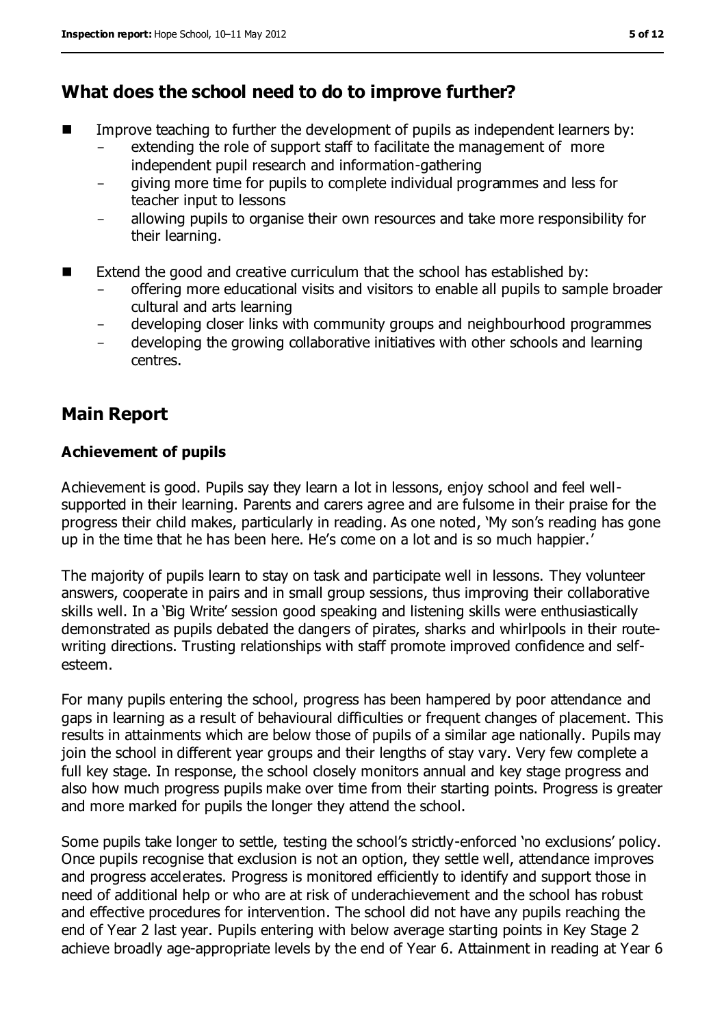### **What does the school need to do to improve further?**

- Improve teaching to further the development of pupils as independent learners by:
	- extending the role of support staff to facilitate the management of more independent pupil research and information-gathering
	- giving more time for pupils to complete individual programmes and less for teacher input to lessons
	- allowing pupils to organise their own resources and take more responsibility for their learning.
- Extend the good and creative curriculum that the school has established by:
	- offering more educational visits and visitors to enable all pupils to sample broader cultural and arts learning
	- developing closer links with community groups and neighbourhood programmes
	- developing the growing collaborative initiatives with other schools and learning centres.

## **Main Report**

### **Achievement of pupils**

Achievement is good. Pupils say they learn a lot in lessons, enjoy school and feel wellsupported in their learning. Parents and carers agree and are fulsome in their praise for the progress their child makes, particularly in reading. As one noted, 'My son's reading has gone up in the time that he has been here. He's come on a lot and is so much happier.'

The majority of pupils learn to stay on task and participate well in lessons. They volunteer answers, cooperate in pairs and in small group sessions, thus improving their collaborative skills well. In a 'Big Write' session good speaking and listening skills were enthusiastically demonstrated as pupils debated the dangers of pirates, sharks and whirlpools in their routewriting directions. Trusting relationships with staff promote improved confidence and selfesteem.

For many pupils entering the school, progress has been hampered by poor attendance and gaps in learning as a result of behavioural difficulties or frequent changes of placement. This results in attainments which are below those of pupils of a similar age nationally. Pupils may join the school in different year groups and their lengths of stay vary. Very few complete a full key stage. In response, the school closely monitors annual and key stage progress and also how much progress pupils make over time from their starting points. Progress is greater and more marked for pupils the longer they attend the school.

Some pupils take longer to settle, testing the school's strictly-enforced 'no exclusions' policy. Once pupils recognise that exclusion is not an option, they settle well, attendance improves and progress accelerates. Progress is monitored efficiently to identify and support those in need of additional help or who are at risk of underachievement and the school has robust and effective procedures for intervention. The school did not have any pupils reaching the end of Year 2 last year. Pupils entering with below average starting points in Key Stage 2 achieve broadly age-appropriate levels by the end of Year 6. Attainment in reading at Year 6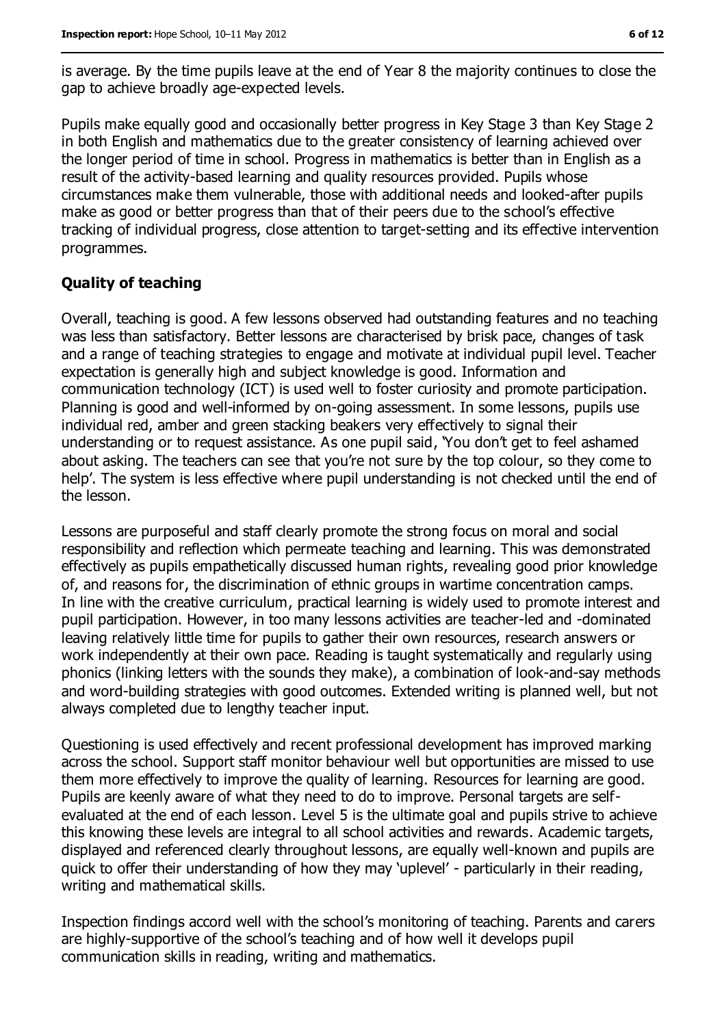is average. By the time pupils leave at the end of Year 8 the majority continues to close the gap to achieve broadly age-expected levels.

Pupils make equally good and occasionally better progress in Key Stage 3 than Key Stage 2 in both English and mathematics due to the greater consistency of learning achieved over the longer period of time in school. Progress in mathematics is better than in English as a result of the activity-based learning and quality resources provided. Pupils whose circumstances make them vulnerable, those with additional needs and looked-after pupils make as good or better progress than that of their peers due to the school's effective tracking of individual progress, close attention to target-setting and its effective intervention programmes.

### **Quality of teaching**

Overall, teaching is good. A few lessons observed had outstanding features and no teaching was less than satisfactory. Better lessons are characterised by brisk pace, changes of task and a range of teaching strategies to engage and motivate at individual pupil level. Teacher expectation is generally high and subject knowledge is good. Information and communication technology (ICT) is used well to foster curiosity and promote participation. Planning is good and well-informed by on-going assessment. In some lessons, pupils use individual red, amber and green stacking beakers very effectively to signal their understanding or to request assistance. As one pupil said, 'You don't get to feel ashamed about asking. The teachers can see that you're not sure by the top colour, so they come to help'. The system is less effective where pupil understanding is not checked until the end of the lesson.

Lessons are purposeful and staff clearly promote the strong focus on moral and social responsibility and reflection which permeate teaching and learning. This was demonstrated effectively as pupils empathetically discussed human rights, revealing good prior knowledge of, and reasons for, the discrimination of ethnic groups in wartime concentration camps. In line with the creative curriculum, practical learning is widely used to promote interest and pupil participation. However, in too many lessons activities are teacher-led and -dominated leaving relatively little time for pupils to gather their own resources, research answers or work independently at their own pace. Reading is taught systematically and regularly using phonics (linking letters with the sounds they make), a combination of look-and-say methods and word-building strategies with good outcomes. Extended writing is planned well, but not always completed due to lengthy teacher input.

Questioning is used effectively and recent professional development has improved marking across the school. Support staff monitor behaviour well but opportunities are missed to use them more effectively to improve the quality of learning. Resources for learning are good. Pupils are keenly aware of what they need to do to improve. Personal targets are selfevaluated at the end of each lesson. Level 5 is the ultimate goal and pupils strive to achieve this knowing these levels are integral to all school activities and rewards. Academic targets, displayed and referenced clearly throughout lessons, are equally well-known and pupils are quick to offer their understanding of how they may 'uplevel' - particularly in their reading, writing and mathematical skills.

Inspection findings accord well with the school's monitoring of teaching. Parents and carers are highly-supportive of the school's teaching and of how well it develops pupil communication skills in reading, writing and mathematics.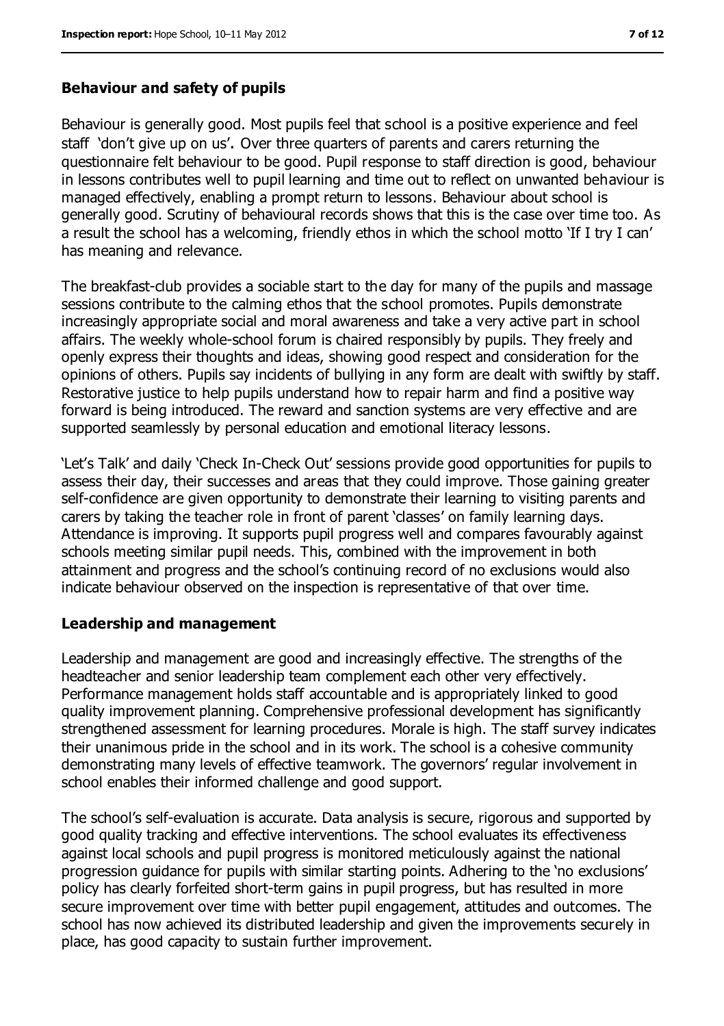#### **Behaviour and safety of pupils**

Behaviour is generally good. Most pupils feel that school is a positive experience and feel staff 'don't give up on us'. Over three quarters of parents and carers returning the questionnaire felt behaviour to be good. Pupil response to staff direction is good, behaviour in lessons contributes well to pupil learning and time out to reflect on unwanted behaviour is managed effectively, enabling a prompt return to lessons. Behaviour about school is generally good. Scrutiny of behavioural records shows that this is the case over time too. As a result the school has a welcoming, friendly ethos in which the school motto 'If I try I can' has meaning and relevance.

The breakfast-club provides a sociable start to the day for many of the pupils and massage sessions contribute to the calming ethos that the school promotes. Pupils demonstrate increasingly appropriate social and moral awareness and take a very active part in school affairs. The weekly whole-school forum is chaired responsibly by pupils. They freely and openly express their thoughts and ideas, showing good respect and consideration for the opinions of others. Pupils say incidents of bullying in any form are dealt with swiftly by staff. Restorative justice to help pupils understand how to repair harm and find a positive way forward is being introduced. The reward and sanction systems are very effective and are supported seamlessly by personal education and emotional literacy lessons.

'Let's Talk' and daily 'Check In-Check Out' sessions provide good opportunities for pupils to assess their day, their successes and areas that they could improve. Those gaining greater self-confidence are given opportunity to demonstrate their learning to visiting parents and carers by taking the teacher role in front of parent 'classes' on family learning days. Attendance is improving. It supports pupil progress well and compares favourably against schools meeting similar pupil needs. This, combined with the improvement in both attainment and progress and the school's continuing record of no exclusions would also indicate behaviour observed on the inspection is representative of that over time.

#### **Leadership and management**

Leadership and management are good and increasingly effective. The strengths of the headteacher and senior leadership team complement each other very effectively. Performance management holds staff accountable and is appropriately linked to good quality improvement planning. Comprehensive professional development has significantly strengthened assessment for learning procedures. Morale is high. The staff survey indicates their unanimous pride in the school and in its work. The school is a cohesive community demonstrating many levels of effective teamwork. The governors' regular involvement in school enables their informed challenge and good support.

The school's self-evaluation is accurate. Data analysis is secure, rigorous and supported by good quality tracking and effective interventions. The school evaluates its effectiveness against local schools and pupil progress is monitored meticulously against the national progression guidance for pupils with similar starting points. Adhering to the 'no exclusions' policy has clearly forfeited short-term gains in pupil progress, but has resulted in more secure improvement over time with better pupil engagement, attitudes and outcomes. The school has now achieved its distributed leadership and given the improvements securely in place, has good capacity to sustain further improvement.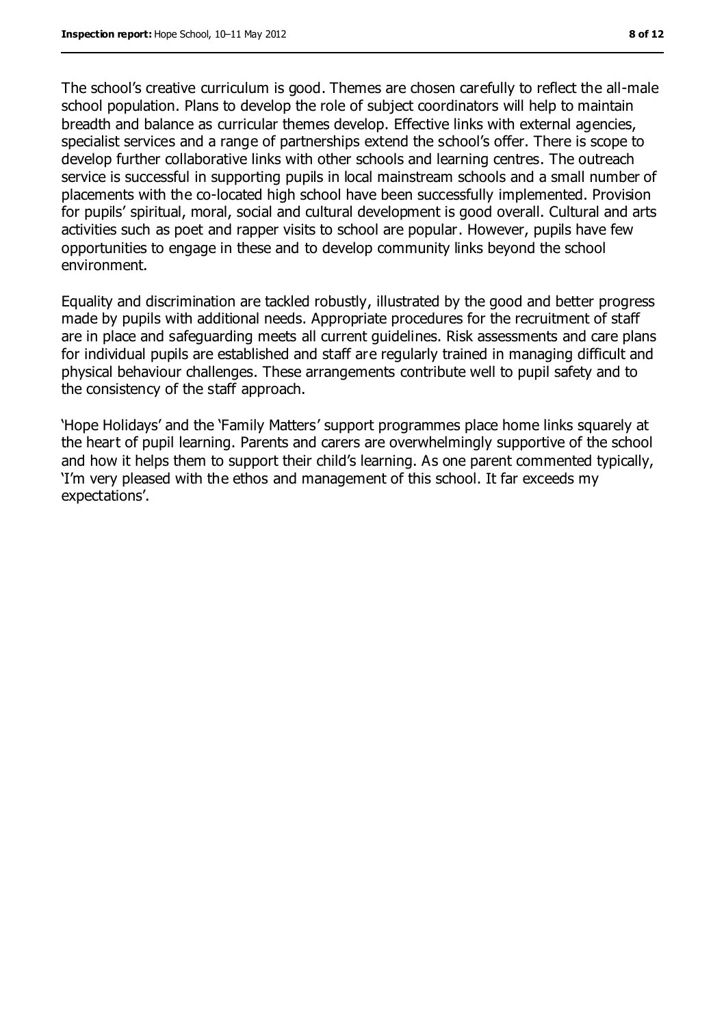The school's creative curriculum is good. Themes are chosen carefully to reflect the all-male school population. Plans to develop the role of subject coordinators will help to maintain breadth and balance as curricular themes develop. Effective links with external agencies, specialist services and a range of partnerships extend the school's offer. There is scope to develop further collaborative links with other schools and learning centres. The outreach service is successful in supporting pupils in local mainstream schools and a small number of placements with the co-located high school have been successfully implemented. Provision for pupils' spiritual, moral, social and cultural development is good overall. Cultural and arts activities such as poet and rapper visits to school are popular. However, pupils have few opportunities to engage in these and to develop community links beyond the school environment.

Equality and discrimination are tackled robustly, illustrated by the good and better progress made by pupils with additional needs. Appropriate procedures for the recruitment of staff are in place and safeguarding meets all current guidelines. Risk assessments and care plans for individual pupils are established and staff are regularly trained in managing difficult and physical behaviour challenges. These arrangements contribute well to pupil safety and to the consistency of the staff approach.

'Hope Holidays' and the 'Family Matters' support programmes place home links squarely at the heart of pupil learning. Parents and carers are overwhelmingly supportive of the school and how it helps them to support their child's learning. As one parent commented typically, 'I'm very pleased with the ethos and management of this school. It far exceeds my expectations'.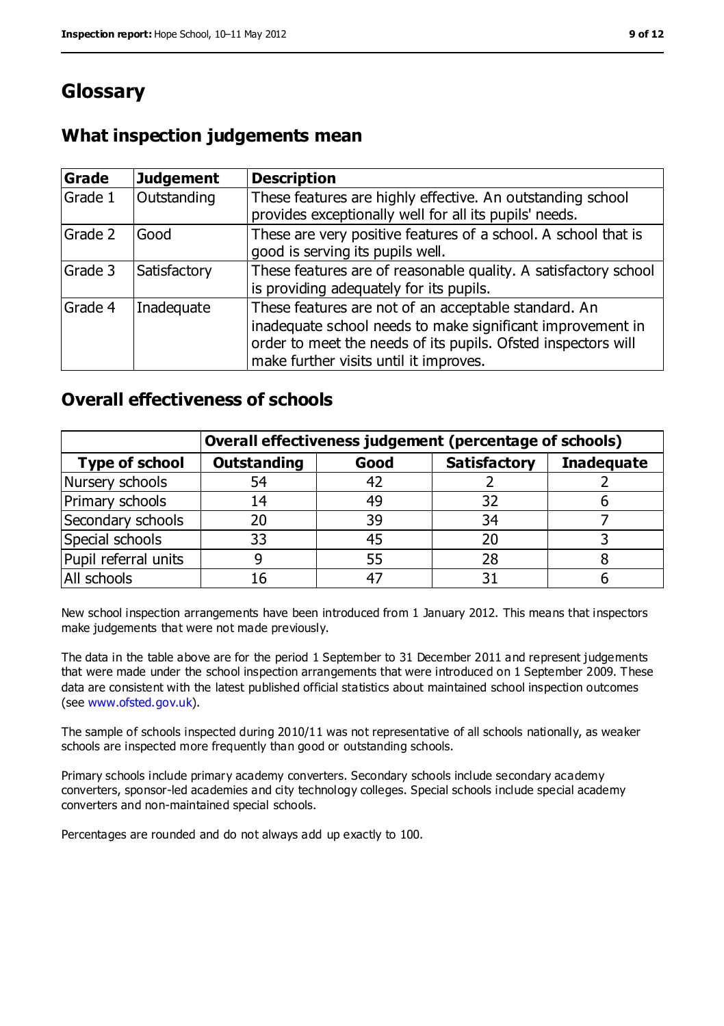# **Glossary**

### **What inspection judgements mean**

| <b>Grade</b> | <b>Judgement</b> | <b>Description</b>                                                                                                                                                                                                            |
|--------------|------------------|-------------------------------------------------------------------------------------------------------------------------------------------------------------------------------------------------------------------------------|
| Grade 1      | Outstanding      | These features are highly effective. An outstanding school<br>provides exceptionally well for all its pupils' needs.                                                                                                          |
| Grade 2      | Good             | These are very positive features of a school. A school that is<br>good is serving its pupils well.                                                                                                                            |
| Grade 3      | Satisfactory     | These features are of reasonable quality. A satisfactory school<br>is providing adequately for its pupils.                                                                                                                    |
| Grade 4      | Inadequate       | These features are not of an acceptable standard. An<br>inadequate school needs to make significant improvement in<br>order to meet the needs of its pupils. Ofsted inspectors will<br>make further visits until it improves. |

### **Overall effectiveness of schools**

|                       | Overall effectiveness judgement (percentage of schools) |      |                     |                   |
|-----------------------|---------------------------------------------------------|------|---------------------|-------------------|
| <b>Type of school</b> | <b>Outstanding</b>                                      | Good | <b>Satisfactory</b> | <b>Inadequate</b> |
| Nursery schools       | 54                                                      | 42   |                     |                   |
| Primary schools       | 14                                                      | 49   | 32                  |                   |
| Secondary schools     | 20                                                      | 39   | 34                  |                   |
| Special schools       | 33                                                      | 45   | 20                  |                   |
| Pupil referral units  |                                                         | 55   | 28                  |                   |
| All schools           | 16                                                      | $-4$ |                     |                   |

New school inspection arrangements have been introduced from 1 January 2012. This means that inspectors make judgements that were not made previously.

The data in the table above are for the period 1 September to 31 December 2011 and represent judgements that were made under the school inspection arrangements that were introduced on 1 September 2009. These data are consistent with the latest published official statistics about maintained school inspection outcomes (see [www.ofsted.gov.uk\)](https://webmail.cfbt.com/mail/AppData/Local/Microsoft/Windows/AppData/Local/Microsoft/Local%20Settings/Temporary%20Internet%20Files/Content.IE5/KTUR6MD3/www.ofsted.gov.uk).

The sample of schools inspected during 2010/11 was not representative of all schools nationally, as weaker schools are inspected more frequently than good or outstanding schools.

Primary schools include primary academy converters. Secondary schools include secondary academy converters, sponsor-led academies and city technology colleges. Special schools include special academy converters and non-maintained special schools.

Percentages are rounded and do not always add up exactly to 100.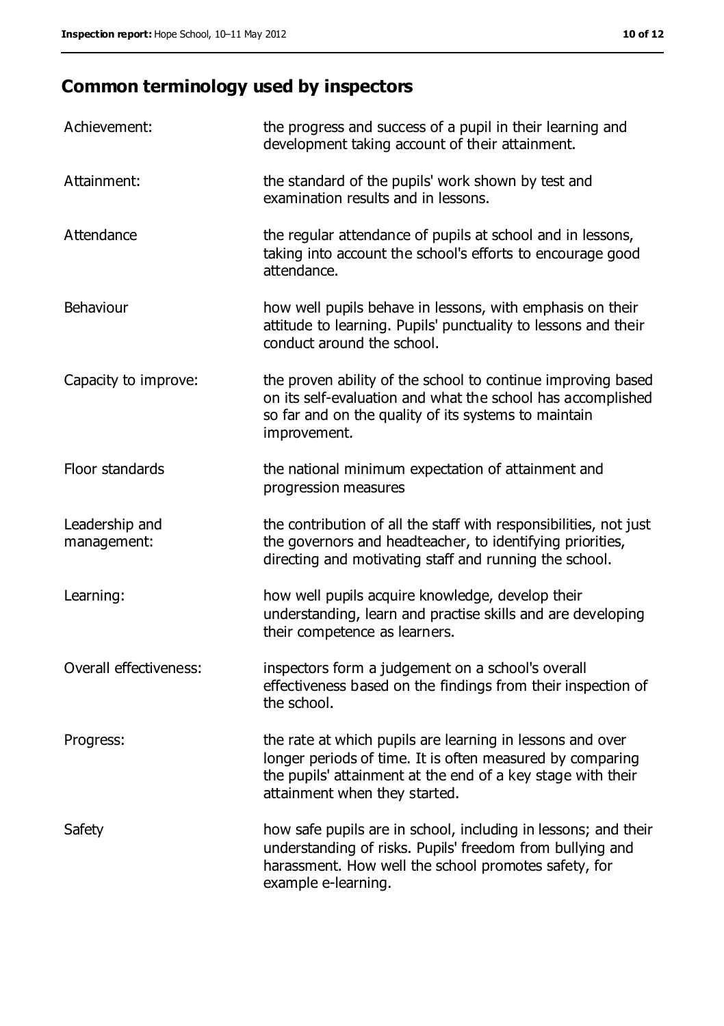# **Common terminology used by inspectors**

| Achievement:                  | the progress and success of a pupil in their learning and<br>development taking account of their attainment.                                                                                                           |
|-------------------------------|------------------------------------------------------------------------------------------------------------------------------------------------------------------------------------------------------------------------|
| Attainment:                   | the standard of the pupils' work shown by test and<br>examination results and in lessons.                                                                                                                              |
| Attendance                    | the regular attendance of pupils at school and in lessons,<br>taking into account the school's efforts to encourage good<br>attendance.                                                                                |
| Behaviour                     | how well pupils behave in lessons, with emphasis on their<br>attitude to learning. Pupils' punctuality to lessons and their<br>conduct around the school.                                                              |
| Capacity to improve:          | the proven ability of the school to continue improving based<br>on its self-evaluation and what the school has accomplished<br>so far and on the quality of its systems to maintain<br>improvement.                    |
| Floor standards               | the national minimum expectation of attainment and<br>progression measures                                                                                                                                             |
| Leadership and<br>management: | the contribution of all the staff with responsibilities, not just<br>the governors and headteacher, to identifying priorities,<br>directing and motivating staff and running the school.                               |
| Learning:                     | how well pupils acquire knowledge, develop their<br>understanding, learn and practise skills and are developing<br>their competence as learners.                                                                       |
| Overall effectiveness:        | inspectors form a judgement on a school's overall<br>effectiveness based on the findings from their inspection of<br>the school.                                                                                       |
| Progress:                     | the rate at which pupils are learning in lessons and over<br>longer periods of time. It is often measured by comparing<br>the pupils' attainment at the end of a key stage with their<br>attainment when they started. |
| Safety                        | how safe pupils are in school, including in lessons; and their<br>understanding of risks. Pupils' freedom from bullying and<br>harassment. How well the school promotes safety, for<br>example e-learning.             |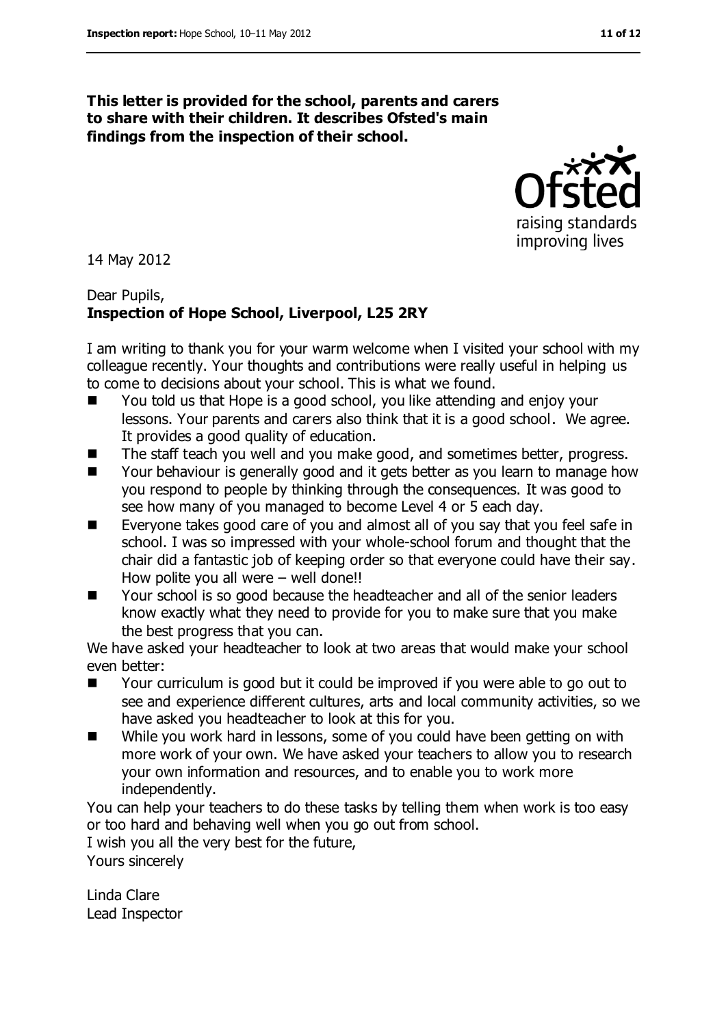#### **This letter is provided for the school, parents and carers to share with their children. It describes Ofsted's main findings from the inspection of their school.**



14 May 2012

#### Dear Pupils, **Inspection of Hope School, Liverpool, L25 2RY**

I am writing to thank you for your warm welcome when I visited your school with my colleague recently. Your thoughts and contributions were really useful in helping us to come to decisions about your school. This is what we found.

- You told us that Hope is a good school, you like attending and enjoy your lessons. Your parents and carers also think that it is a good school. We agree. It provides a good quality of education.
- The staff teach you well and you make good, and sometimes better, progress.
- Your behaviour is generally good and it gets better as you learn to manage how you respond to people by thinking through the consequences. It was good to see how many of you managed to become Level 4 or 5 each day.
- Everyone takes good care of you and almost all of you say that you feel safe in school. I was so impressed with your whole-school forum and thought that the chair did a fantastic job of keeping order so that everyone could have their say. How polite you all were  $-$  well done!!
- Your school is so good because the headteacher and all of the senior leaders know exactly what they need to provide for you to make sure that you make the best progress that you can.

We have asked your headteacher to look at two areas that would make your school even better:

- Your curriculum is good but it could be improved if you were able to go out to see and experience different cultures, arts and local community activities, so we have asked you headteacher to look at this for you.
- While you work hard in lessons, some of you could have been getting on with more work of your own. We have asked your teachers to allow you to research your own information and resources, and to enable you to work more independently.

You can help your teachers to do these tasks by telling them when work is too easy or too hard and behaving well when you go out from school.

I wish you all the very best for the future,

Yours sincerely

Linda Clare Lead Inspector